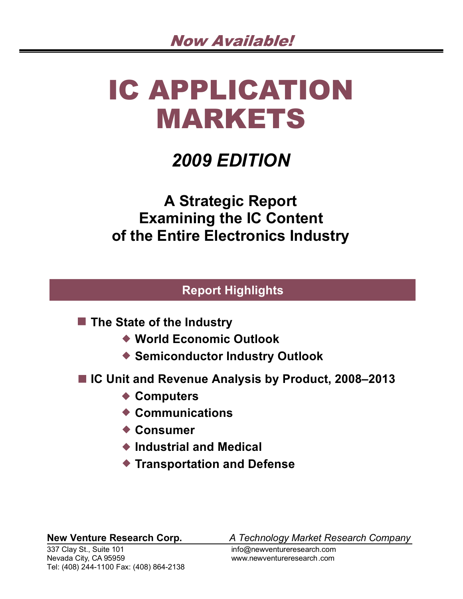# IC APPLICATION MARKETS

# *2009 EDITION*

**A Strategic Report Examining the IC Content of the Entire Electronics Industry**

# **Report Highlights**

■ The State of the Industry

- **World Economic Outlook**
- **Semiconductor Industry Outlook**
- IC Unit and Revenue Analysis by Product, 2008–2013
	- ◆ Computers
	- **Communications**
	- **Consumer**
	- **Industrial and Medical**
	- **Transportation and Defense**

337 Clay St., Suite 101 info@newventureresearch.com Nevada City, CA 95959 www.newventureresearch.com Tel: (408) 244-1100 Fax: (408) 864-2138

**New Venture Research Corp.** *A Technology Market Research Company*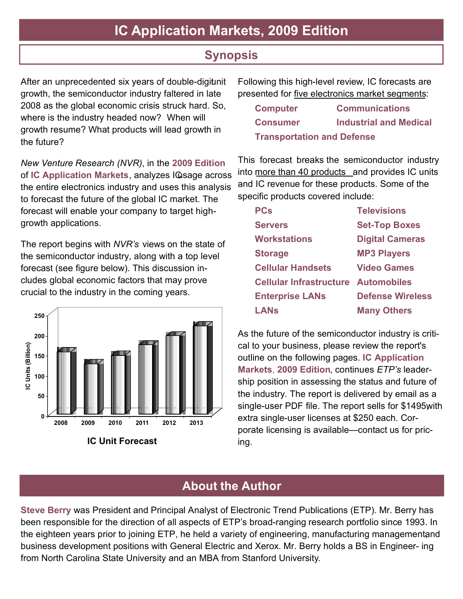# **IC Application Markets, 2009 Edition**

# **Synopsis**

After an unprecedented six years of double-digitinit growth, the semiconductor industry faltered in late 2008 as the global economic crisis struck hard. So, where is the industry headed now? When will growth resume? What products will lead growth in the future?

*New Venture Research (NVR)* , in the **2009 Edition** of **IC Application Markets**, analyzes ICusage across the entire electronics industry and uses this analysis to forecast the future of the global IC market. The forecast will enable your company to target highgrowth applications.

The report begins with *NVR's* views on the state of the semiconductor industry, along with a top level forecast (see figure below). This discussion includes global economic factors that may prove crucial to the industry in the coming years.



Following this high-level review, IC forecasts are presented for five electronics market segments:

| <b>Computer</b>                   | <b>Communications</b>         |
|-----------------------------------|-------------------------------|
| <b>Consumer</b>                   | <b>Industrial and Medical</b> |
| <b>Transportation and Defense</b> |                               |

This forecast breaks the semiconductor industry into more than 40 products and provides IC units and IC revenue for these products. Some of the specific products covered include:

| PCs                                        | <b>Televisions</b>      |
|--------------------------------------------|-------------------------|
| <b>Servers</b>                             | <b>Set-Top Boxes</b>    |
| Workstations                               | <b>Digital Cameras</b>  |
| <b>Storage</b>                             | <b>MP3 Players</b>      |
| <b>Cellular Handsets</b>                   | <b>Video Games</b>      |
| <b>Cellular Infrastructure Automobiles</b> |                         |
| <b>Enterprise LANs</b>                     | <b>Defense Wireless</b> |
| LANs                                       | <b>Many Others</b>      |

As the future of the semiconductor industry is critical to your business, please review the report's outline on the following pages. **IC Application Markets**, **2009 Edition** , continues *ETP's* leadership position in assessing the status and future of the industry. The report is delivered by email as a single-user PDF file. The report sells for \$1495 with extra single-user licenses at \$250 each. Corporate licensing is available—contact us for pricing.

# **About the Author**

**Steve Berry** was President and Principal Analyst of Electronic Trend Publications (ETP). Mr. Berry has been responsible for the direction of all aspects of ETP's broad-ranging research portfolio since 1993. In the eighteen years prior to joining ETP, he held a variety of engineering, manufacturing managementand business development positions with General Electric and Xerox. Mr. Berry holds a BS in Engineer- ing from North Carolina State University and an MBA from Stanford University.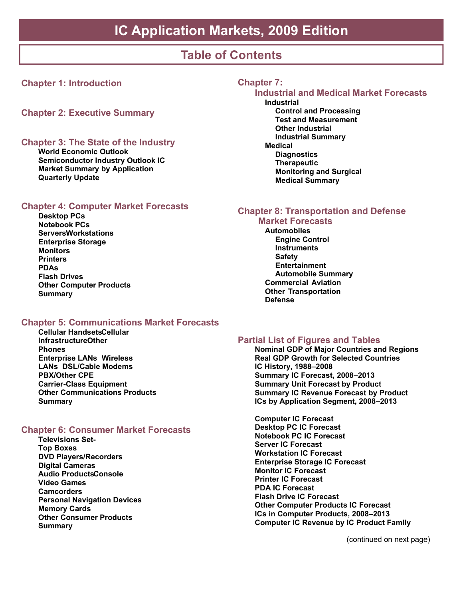# **Table of Contents**

### **Chapter 1: Introduction**

**Chapter 2: Executive Summary**

#### **Chapter 3: The State of the Industry**

**World Economic Outlook Semiconductor Industry Outlook IC Market Summary by Application Quarterly Update**

#### **Chapter 4: Computer Market Forecasts**

**Desktop PCs Notebook PCs Servers Workstations Enterprise Storage Monitors Printers PDAs Flash Drives Other Computer Products Summary**

#### **Chapter 5: Communications Market Forecasts**

**Cellular Handsets Cellular Infrastructure Other Phones Enterprise LANs Wireless LANs DSL/Cable Modems PBX/Other CPE Carrier-Class Equipment Other Communications Products Summary**

#### **Chapter 6: Consumer Market Forecasts**

**Televisions Set-Top Boxes DVD Players/Recorders Digital Cameras Audio Products Console Video Games Camcorders Personal Navigation Devices Memory Cards Other Consumer Products Summary**

#### **Chapter 7:**

#### **Industrial and Medical Market Forecasts Industrial**

**Control and Processing Test and Measurement Other Industrial Industrial Summary Medical Diagnostics Therapeutic Monitoring and Surgical Medical Summary**

#### **Chapter 8: Transportation and Defense**

#### **Market Forecasts Automobiles Engine Control Instruments Safety Entertainment Automobile Summary Commercial Aviation Other Transportation Defense**

#### **Partial List of Figures and Tables**

**Nominal GDP of Major Countries and Regions Real GDP Growth for Selected Countries IC History, 1988–2008 Summary IC Forecast, 2008–2013 Summary Unit Forecast by Product Summary IC Revenue Forecast by Product ICs by Application Segment, 2008–2013**

**Computer IC Forecast Desktop PC IC Forecast Notebook PC IC Forecast Server IC Forecast Workstation IC Forecast Enterprise Storage IC Forecast Monitor IC Forecast Printer IC Forecast PDA IC Forecast Flash Drive IC Forecast Other Computer Products IC Forecast ICs in Computer Products, 2008–2013 Computer IC Revenue by IC Product Family**

(continued on next page)